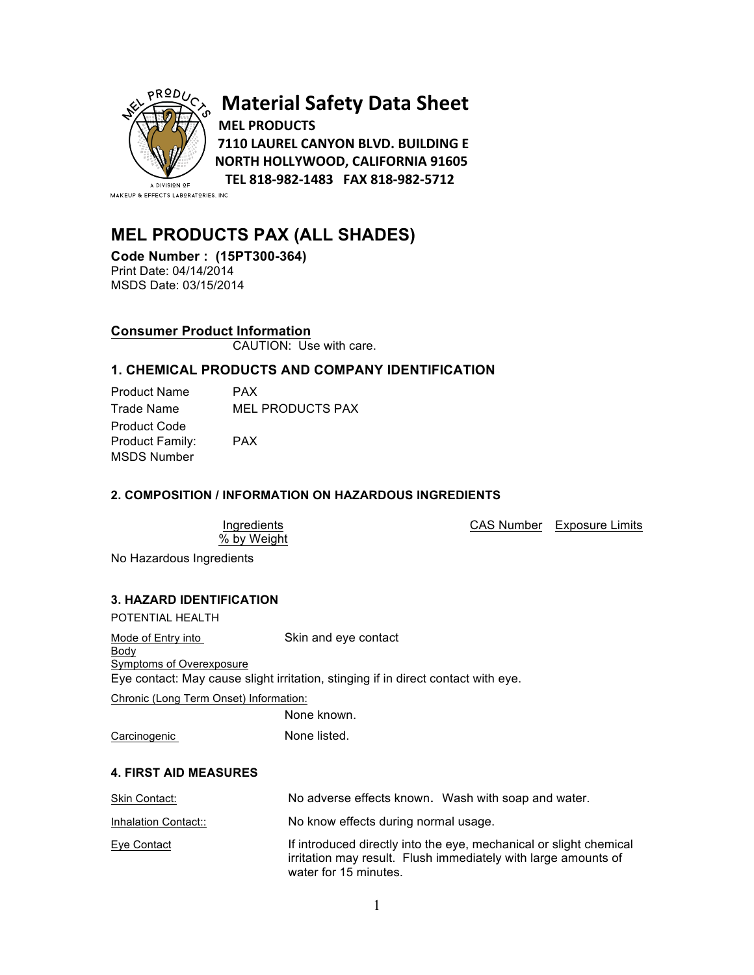

# **Material Safety Data Sheet MEL PRODUCTS**

**7110 LAUREL CANYON BLVD. BUILDING E NORTH HOLLYWOOD, CALIFORNIA 91605 TEL 818-982-1483 FAX 818-982-5712**

MAKEUP & EFFECTS LABORATORIES, INC.

## **MEL PRODUCTS PAX (ALL SHADES)**

**Code Number : (15PT300-364)** MSDS Date: 03/15/2014

## **Consumer Product Information**

CAUTION: Use with care.

## **1. CHEMICAL PRODUCTS AND COMPANY IDENTIFICATION**

| <b>Product Name</b>    | <b>PAX</b>              |
|------------------------|-------------------------|
| Trade Name             | <b>MEL PRODUCTS PAX</b> |
| <b>Product Code</b>    |                         |
| <b>Product Family:</b> | <b>PAX</b>              |
| MSDS Number            |                         |

## **2. COMPOSITION / INFORMATION ON HAZARDOUS INGREDIENTS**

| Ingredients |             |
|-------------|-------------|
|             | % by Weight |

CAS Number Exposure Limits

No Hazardous Ingredients

## **3. HAZARD IDENTIFICATION**

| POTENTIAL HEALTH                                       |                                                                                                                                      |
|--------------------------------------------------------|--------------------------------------------------------------------------------------------------------------------------------------|
| Mode of Entry into<br>Body<br>Symptoms of Overexposure | Skin and eye contact<br>Eye contact: May cause slight irritation, stinging if in direct contact with eye.                            |
|                                                        |                                                                                                                                      |
| Chronic (Long Term Onset) Information:                 |                                                                                                                                      |
|                                                        | None known.                                                                                                                          |
| Carcinogenic                                           | None listed.                                                                                                                         |
| <b>4. FIRST AID MEASURES</b>                           |                                                                                                                                      |
| Skin Contact:                                          | No adverse effects known. Wash with soap and water.                                                                                  |
| Inhalation Contact::                                   | No know effects during normal usage.                                                                                                 |
| Eye Contact                                            | If introduced directly into the eye, mechanical or slight chemical<br>irritation may result. Flush immediately with large amounts of |

water for 15 minutes.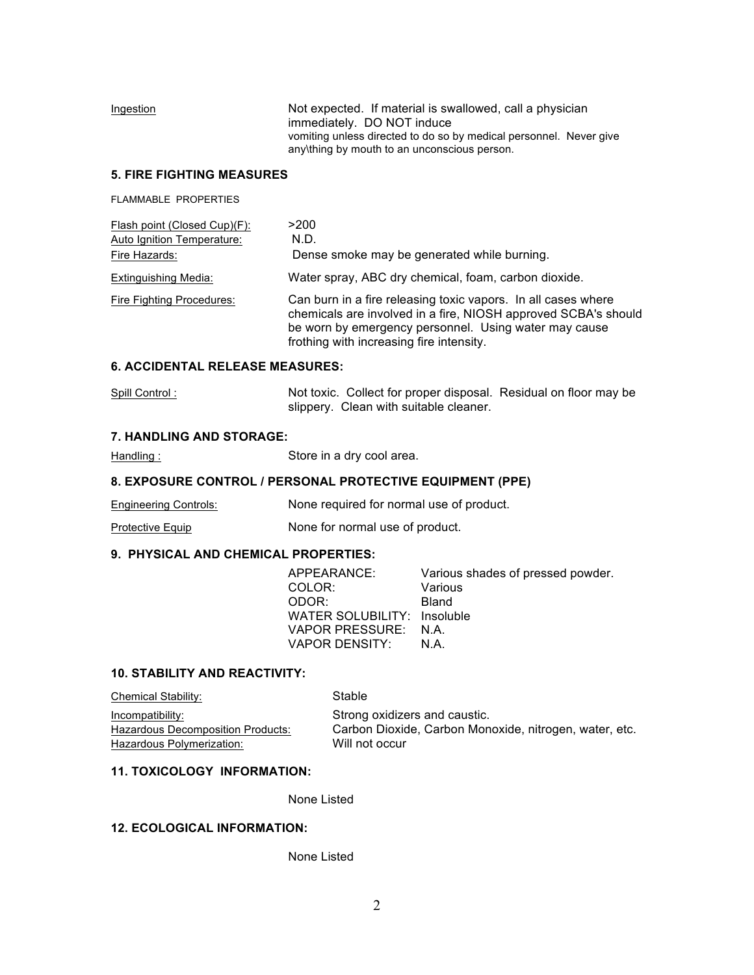| Ingestion | Not expected. If material is swallowed, call a physician                                                           |
|-----------|--------------------------------------------------------------------------------------------------------------------|
|           | immediately. DO NOT induce                                                                                         |
|           | vomiting unless directed to do so by medical personnel. Never give<br>any thing by mouth to an unconscious person. |

#### **5. FIRE FIGHTING MEASURES**

FLAMMABLE PROPERTIES

| Flash point (Closed Cup)(F):<br>Auto Ignition Temperature: | >200<br>N.D.                                                                                                                                                                                                                         |
|------------------------------------------------------------|--------------------------------------------------------------------------------------------------------------------------------------------------------------------------------------------------------------------------------------|
| Fire Hazards:                                              | Dense smoke may be generated while burning.                                                                                                                                                                                          |
| Extinguishing Media:                                       | Water spray, ABC dry chemical, foam, carbon dioxide.                                                                                                                                                                                 |
| Fire Fighting Procedures:                                  | Can burn in a fire releasing toxic vapors. In all cases where<br>chemicals are involved in a fire, NIOSH approved SCBA's should<br>be worn by emergency personnel. Using water may cause<br>frothing with increasing fire intensity. |

## **6. ACCIDENTAL RELEASE MEASURES:**

| Spill Control: | Not toxic. Collect for proper disposal. Residual on floor may be |  |
|----------------|------------------------------------------------------------------|--|
|                | slippery. Clean with suitable cleaner.                           |  |

#### **7. HANDLING AND STORAGE:**

Handling : Store in a dry cool area.

## **8. EXPOSURE CONTROL / PERSONAL PROTECTIVE EQUIPMENT (PPE)**

Engineering Controls: None required for normal use of product.

Protective Equip None for normal use of product.

#### **9. PHYSICAL AND CHEMICAL PROPERTIES:**

| APPEARANCE:                 | Various shades of pressed powder. |
|-----------------------------|-----------------------------------|
| COLOR:                      | Various                           |
| ODOR:                       | Bland                             |
| WATER SOLUBILITY: Insoluble |                                   |
| VAPOR PRESSURE: N.A.        |                                   |
| VAPOR DENSITY:              | N.A.                              |

#### **10. STABILITY AND REACTIVITY:**

| <b>Chemical Stability:</b>        | Stable                                                 |
|-----------------------------------|--------------------------------------------------------|
| Incompatibility:                  | Strong oxidizers and caustic.                          |
| Hazardous Decomposition Products: | Carbon Dioxide, Carbon Monoxide, nitrogen, water, etc. |
| Hazardous Polymerization:         | Will not occur                                         |

### **11. TOXICOLOGY INFORMATION:**

None Listed

## **12. ECOLOGICAL INFORMATION:**

None Listed